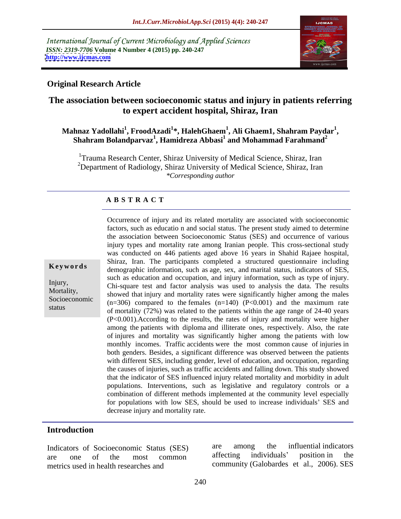International Journal of Current Microbiology and Applied Sciences *ISSN: 2319-7706* **Volume 4 Number 4 (2015) pp. 240-247 <http://www.ijcmas.com>**



## **Original Research Article**

# **The association between socioeconomic status and injury in patients referring to expert accident hospital, Shiraz, Iran**

### **Mahnaz Yadollahi<sup>1</sup> , FroodAzadi<sup>1</sup> \*, HalehGhaem<sup>1</sup> , Ali Ghaem1, Shahram Paydar<sup>1</sup>** hnaz Yadollahi<sup>1</sup>, FroodAzadi<sup>1</sup>\*, HalehGhaem<sup>1</sup>, Ali Ghaem1, Shahram Paydar<sup>1</sup>,<br>Shahram Bolandparvaz<sup>1</sup>, Hamidreza Abbasi<sup>1</sup> and Mohammad Farahmand<sup>2</sup>

<sup>1</sup>Trauma Research Center, Shiraz University of Medical Science, Shiraz, Iran <sup>2</sup>Department of Radiology, Shiraz University of Medical Science, Shiraz, Iran *\*Corresponding author*

### **A B S T R A C T**

status

Occurrence of injury and its related mortality are associated with socioeconomic factors, such as educatio n and social status. The present study aimed to determine the association between Socioeconomic Status (SES) and occurrence of various injury types and mortality rate among Iranian people. This cross-sectional study was conducted on 446 patients aged above 16 years in Shahid Rajaee hospital, Shiraz, Iran. The participants completed a structured questionnaire including demographic information, such as age, sex, and marital status, indicators of SES, **Ke ywo rds** such as education and occupation, and injury information, such as type of injury. Injury,<br>Chi-square test and factor analysis was used to analysis the data. The results Mortality,<br>Showed that injury and mortality rates were significantly higher among the males Socioeconomic  $(n=306)$  compared to the females  $(n=140)$   $(P<0.001)$  and the maximum rate of mortality (72%) was related to the patients within the age range of 24-40 years (P<0.001).According to the results, the rates of injury and mortality were higher among the patients with diploma and illiterate ones, respectively. Also, the rate of injures and mortality was significantly higher among the patients with low monthly incomes. Traffic accidents were the most common cause of injuries in both genders. Besides, a significant difference was observed between the patients with different SES, including gender, level of education, and occupation, regarding the causes of injuries, such as traffic accidents and falling down. This study showed that the indicator of SES influenced injury related mortality and morbidity in adult populations. Interventions, such as legislative and regulatory controls or a combination of different methods implemented at the community level especially for populations with low SES, should be used to increase individuals' SES and decrease injury and mortality rate.

## **Introduction**

metrics used in health researches and

Indicators of Socioeconomic Status (SES) are among the influential indicators are one of the most common affecting individuals' position in the are one of the most common affecting individuals position in the are among the influential indicators affecting individuals' position in the community (Galobardes et al., 2006). SES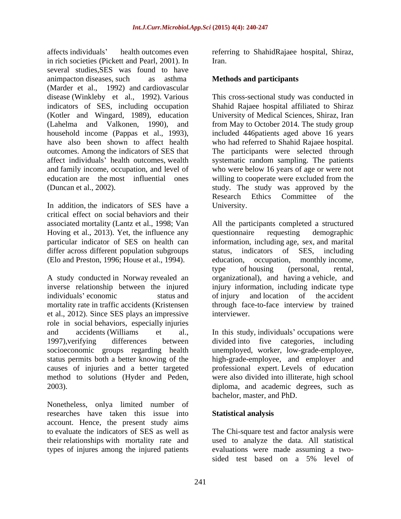affects individuals' health outcomes even referring to ShahidRajaee hospital, Shiraz, in rich societies (Pickett and Pearl, 2001). In several studies,SES was found to have animpacton diseases, such as asthma **Methods and participants** (Marder et al., 1992) and cardiovascular disease (Winkleby et al., 1992). Various

In addition, the indicators of SES have a University. critical effect on social behaviors and their Hoving et al., 2013). Yet, the influence any question aire requesting demographic differ across different population subgroups status, indicators of SES, including

inverse relationship between the injured injury information, including indicate type individuals' economic status and of injury and location of the accident mortality rate in traffic accidents (Kristensen through face-to-face interview by trained et al., 2012). Since SES plays an impressive role in social behaviors, especially injuries and accidents (Williams et al., In this study, individuals' occupations were 1997),verifying differences between divided into five categories, including socioeconomic groups regarding health unemployed, worker, low-grade-employee, status permits both a better knowing of the high-grade-employee, and employer and causes of injuries and a better targeted professional expert. Levels of education method to solutions (Hyder and Peden,

researches have taken this issue into account. Hence, the present study aims to evaluate the indicators of SES as well as The Chi-square test and factor analysis were their relationships with mortality rate and used to analyze the data. All statistical types of injures among the injured patients

Iran.

indicators of SES, including occupation Shahid Rajaee hospital affiliated to Shiraz (Kotler and Wingard, 1989), education University of Medical Sciences, Shiraz, Iran (Lahelma and Valkonen, 1990), and from May to October 2014. The study group household income (Pappas et al., 1993), included 446patients aged above 16 years have also been shown to affect health who had referred to Shahid Rajaee hospital. outcomes. Among the indicators of SES that The participants were selected through affect individuals' health outcomes, wealth systematic random sampling. The patients and family income, occupation, and level of who were below 16 years of age or were not education are the most influential ones willing to cooperate were excluded from the (Duncan et al., 2002). Study. The study was approved by the study was approved by the This cross-sectional study was conducted in Research Ethics Committee of the University.

associated mortality (Lantz et al., 1998; Van All the participants completed a structured particular indicator of SES on health can information, including age, sex, and marital (Elo and Preston, 1996; House et al., 1994). education, occupation, monthly income,<br>
type of housing (personal, rental,<br>
A study conducted in Norway revealed an organizational), and having a vehicle, and questionnaire requesting demographic status, indicators of SES, including education, occupation, monthly income, type of housing (personal, rental, organizational), and having a vehicle, and of injury and location of the accident interviewer.

2003).<br>
2003). diploma, and academic degrees, such as<br>
bachelor, master, and PhD.<br>
Nonetheless, onlya limited number of were also divided into illiterate, high school diploma, and academic degrees, such as bachelor, master, and PhD.

### **Statistical analysis**

evaluations were made assuming a two sided test based on a 5% level of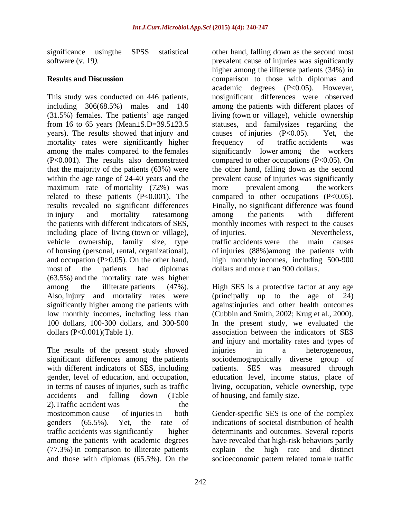years). The results showed that injury and causes of injuries (P<0.05). Yet, the mortality rates were significantly higher frequency of traffic accidents was maximum rate of mortality (72%) was more prevalent among the workers including place of living (town or village), of injuries. Nevertheless, vehicle ownership, family size, type traffic accidents were the main causes of housing (personal, rental, organizational), most of the patients had diplomas dollars and more than 900 dollars. (63.5%) and the mortality rate was higher low monthly incomes, including less than (Cubbin and Smith, 2002; Krug et al., 2000). 100 dollars, 100-300 dollars, and 300-500

The results of the present study showed injuries in a heterogeneous, accidents and falling down (Table of housing, and family size. 2).Traffic accident was the mostcommon cause of injuries in both Gender-specific SES is one of the complex genders (65.5%). Yet, the rate of indications of societal distribution of health traffic accidents was significantly higher determinants and outcomes. Several reports among the patients with academic degrees have revealed that high-risk behaviors partly  $(77.3%)$  in comparison to illiterate patients explain the high rate and distinct and those with diplomas  $(65.5%)$ . On the socioeconomic pattern related tomale traffic

significance usingthe SPSS statistical other hand, falling down as the second most software (v. 19*).* prevalent cause of injuries was significantly **Results and Discussion** comparison to those with diplomas and This study was conducted on 446 patients, nosignificant differences were observed including 306(68.5%) males and 140 among the patients with different places of (31.5%) females. The patients' age ranged living (town or village), vehicle ownership from 16 to 65 years (Mean±S.D=39.5±23.5 statuses, and familysizes regarding the among the males compared to the females significantly lower among the workers (P<0.001). The results also demonstrated compared to other occupations (P<0.05). On that the majority of the patients (63%) were the other hand, falling down as the second within the age range of 24-40 years and the prevalent cause of injuries was significantly related to these patients (P<0.001). The compared to other occupations (P<0.05). results revealed no significant differences Finally, no significant difference was found in injury and mortality ratesamong among the patients with different the patients with different indicators of SES, monthly incomes with respect to the causes and occupation (P>0.05). On the other hand, high monthly incomes, including 500-900 higher among the illiterate patients (34%) in academic degrees (P<0.05). However, causes of injuries  $(P<0.05)$ . frequency of traffic accidents was more prevalent among the workers among the patients with different of injuries. Nevertheless, traffic accidents were the of injuries (88%)among the patients with

among the illiterate patients (47%). High SES is a protective factor at any age Also, injury and mortality rates were (principally up to the age of 24) significantly higher among the patients with againstinjuries and other health outcomes dollars (P<0.001)(Table 1). association between the indicators of SES significant differences among the patients sociodemographically diverse group of with different indicators of SES, including patients. SES was measured through gender, level of education, and occupation, education level, income status, place of in terms of causes of injuries, such as traffic living, occupation, vehicle ownership, type (Cubbin and Smith, 2002; Krug et al., 2000). In the present study, we evaluated the and injury and mortality rates and types of injuries in a heterogeneous, of housing, and family size.

and those with diplomas (65.5%). On the socioeconomic pattern related tomale trafficexplain the high rate and distinct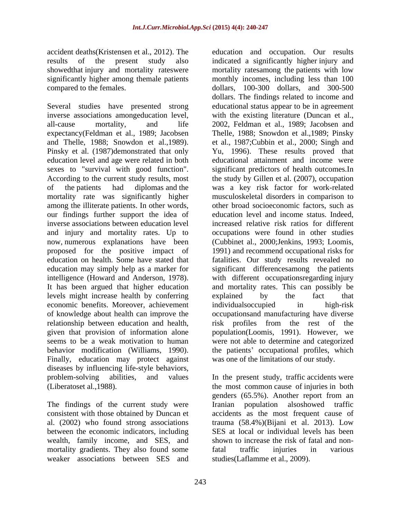accident deaths(Kristensen et al., 2012). The education and occupation. Our results

Several studies have presented strong educationalstatus appear to be in agreement inverse associations amongeducation level, with the existing literature (Duncan et al., all-cause mortality, and life 2002, Feldman et al., 1989; Jacobsen and expectancy(Feldman et al., 1989; Jacobsen Thelle, 1988; Snowdon et al.,1989; Pinsky and Thelle, 1988; Snowdon et al.,1989). et al., 1987;Cubbin et al., 2000; Singh and<br>Pinsky et al. (1987)demonstrated that only Yu, 1996). These results proved that education level and age were related in both educational attainment and income were sexes to "survival with good function". significant predictors of health outcomes.In According to the current study results, most the study by Gillen et al. (2007), occupation of the patients had diplomas and the was a key risk factor for work-related mortality rate was significantly higher musculoskeletal disorders in comparison to among the illiterate patients. In other words, our findings further support the idea of inverse associations between education level increased relative risk ratios for different and injury and mortality rates. Up to now, numerous explanations have been (Cubbinet al., 2000; Jenkins, 1993; Loomis, proposed for the positive impact of 1991) and recommend occupational risks for education on health. Some have stated that fatalities. Our study results revealed no education may simply help as a marker for significant differencesamong the patients intelligence (Howard and Anderson, 1978). It has been argued that higher education and mortality rates. This can possibly be levels might increase health by conferring economic benefits. Moreover, achievement of knowledge about health can improve the occupationsand manufacturing have diverse relationship between education and health, risk profiles from the rest of the given that provision of information alone population(Loomis, 1991). However, we seems to be a weak motivation to human were not able to determine and categorized behavior modification (Williams, 1990). The patients' occupational profiles, which<br>Finally, education may protect against was one of the limitations of our study. diseases by influencing life-style behaviors, problem-solving abilities, and values In the present study, traffic accidents were

The findings of the current study were Iranian population also showed traffic al. (2002) who found strong associations between the economic indicators, including wealth, family income, and SES, and mortality gradients. They also found some fatal traffic injuries in various weaker associations between SES and

results of the present study also indicated a significantly higher injury and showedthat injury and mortality rateswere mortality ratesamong the patients with low significantly higher among themale patients monthly incomes, including less than 100 compared to the females. dollars, 100-300 dollars, and 300-500 dollars. The findings related to income and et al., 1987;Cubbin et al., 2000; Singh and Yu, 1996). These results proved that other broad socioeconomic factors, such as education level and income status. Indeed, occupationswere found in other studies (Cubbinet al., 2000;Jenkins, 1993; Loomis,<br>1991) and recommend occupational risks for with different occupationsregarding injury and mortality rates. This can possibly be explained by the fact that individualsoccupied in high-risk the patients' occupational profiles, which was one of the limitations of our study.

(Liberatoset al.,1988). the most common cause of injuries in both consistent with those obtained by Duncan et accidents as the most frequent cause of genders (65.5%). Another report from an Iranian population alsoshowed traffic trauma  $(58.4\%)$ (Bijani et al. 2013). Low SES at local or individual levels has been shown to increase the risk of fatal and nonfatal traffic injuries in various studies(Laflamme et al., 2009).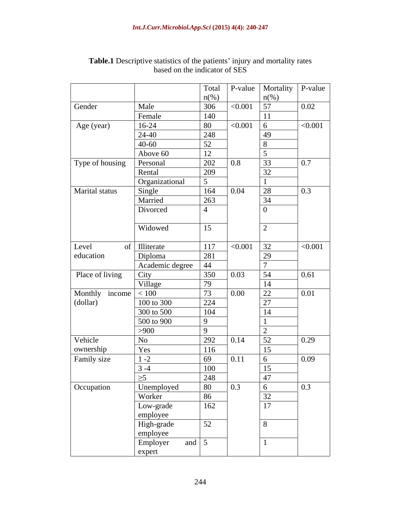|                 |                 | Total               | P-value | Mortality          | P-value |
|-----------------|-----------------|---------------------|---------|--------------------|---------|
|                 |                 | $n\left(\%\right)$  |         | $n\left(\%\right)$ |         |
| Gender          | Male            | 306                 | < 0.001 | 57                 | 0.02    |
|                 | Female          | 140                 |         | 11                 |         |
| Age (year)      | $16-24$         | 80                  | < 0.001 | 6                  | < 0.001 |
|                 | 24-40           | 248                 |         | 49                 |         |
|                 | $40 - 60$       | $\overline{52}$     |         | 8                  |         |
|                 | Above 60        | 12                  |         |                    |         |
| Type of housing | Personal        | 202                 | 0.8     | 33                 | $0.7\,$ |
|                 | Rental          | 209                 |         | 32                 |         |
|                 | Organizational  | 5 <sup>5</sup>      |         |                    |         |
| Marital status  | Single          | 164                 | 0.04    | 28                 | 0.3     |
|                 | Married         | 263                 |         | 34                 |         |
|                 | Divorced        | $\overline{4}$      |         | $\Omega$           |         |
|                 |                 |                     |         |                    |         |
|                 | Widowed         | 15                  |         | $\gamma$           |         |
|                 |                 |                     |         |                    |         |
| Level           | of Illiterate   | 117                 | < 0.001 | 32                 | < 0.001 |
| education       | Diploma         | 281                 |         | 29                 |         |
|                 | Academic degree | 44                  |         |                    |         |
| Place of living | City            | 350                 | 0.03    | 54                 | 0.61    |
|                 | Village         | 79                  |         | 14                 |         |
| Monthly income  | < 100           | 73                  | 0.00    |                    | 0.01    |
| (dollar)        | 100 to 300      | 224                 |         | $\frac{22}{27}$    |         |
|                 | 300 to 500      | 104                 |         | 14                 |         |
|                 | 500 to 900      | 9                   |         |                    |         |
|                 | >900            | $\mathbf{Q}$        |         |                    |         |
| Vehicle         | No              | 292                 | 0.14    | 52                 | 0.29    |
| ownership       | Yes             | 116                 |         | $\overline{15}$    |         |
| Family size     | $1 - 2$         | 69                  | 0.11    | 6                  | 0.09    |
|                 | $3 - 4$         | 100                 |         | 15                 |         |
|                 | $\geq 5$        | 248                 |         | 47                 |         |
| Occupation      | Unemployed      | 80                  | 0.3     | 6                  | 0.3     |
|                 | Worker          | 86                  |         | $\overline{32}$    |         |
|                 | Low-grade       | 162                 |         | 17                 |         |
|                 | employee        |                     |         |                    |         |
|                 | High-grade      | 52                  |         | 8                  |         |
|                 | employee        |                     |         |                    |         |
|                 | Employer        | and $\vert 5 \vert$ |         |                    |         |
|                 | expert          |                     |         |                    |         |

### **Table.1** Descriptive statistics of the patients' injury and mortality rates based on the indicator of SES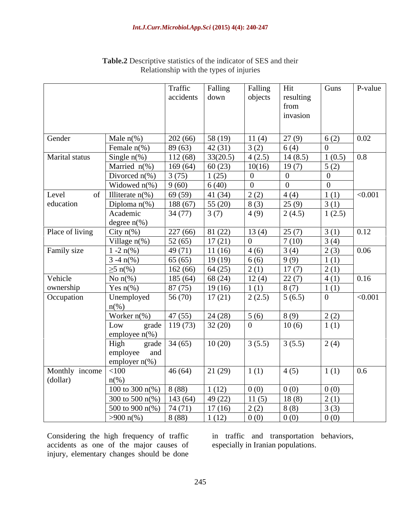|                 |                             | Traffic   | Falling   | Falling        | Hit            | Guns           | P-value |
|-----------------|-----------------------------|-----------|-----------|----------------|----------------|----------------|---------|
|                 |                             | accidents | down      | objects        | resulting      |                |         |
|                 |                             |           |           |                | from           |                |         |
|                 |                             |           |           |                | invasion       |                |         |
|                 |                             |           |           |                |                |                |         |
| Gender          | Male $n\%$ )                | 202(66)   | 58(19)    | 11(4)          | 27(9)          | 6(2)           | 0.02    |
|                 | Female $n$ <sup>(%)</sup>   | 89(63)    | 42(31)    | 3(2)           | 6(4)           | $\overline{0}$ |         |
|                 |                             |           | 33(20.5)  | 4(2.5)         |                |                |         |
| Marital status  | Single $n$ <sup>(%)</sup>   | 112(68)   |           |                | 14(8.5)        | 1(0.5)         | 0.8     |
|                 | Married $n$ <sup>(%)</sup>  | 169(64)   | 60(23)    | 10(16)         | 19(7)          | 5(2)           |         |
|                 | Divorced $n$ <sup>(%)</sup> | 3(75)     | 1(25)     | $\Omega$       | $\overline{0}$ | $\overline{0}$ |         |
|                 | Widowed $n$ <sup>(%)</sup>  | 9(60)     | 6(40)     | $\overline{0}$ | $\overline{0}$ | $\overline{0}$ |         |
| Level           | of Illiterate $n\%$ )       | 69(59)    | 41(34)    | 2(2)           | 4(4)           | 1(1)           | < 0.001 |
| education       | Diploma $n$ <sup>(%)</sup>  | 188(67)   | 55 $(20)$ | 8(3)           | 25(9)          | 3(1)           |         |
|                 | Academic                    | 34(77)    | 3(7)      | 4(9)           | 2(4.5)         | 1(2.5)         |         |
|                 | degree $n\%$ )              |           |           |                |                |                |         |
| Place of living | City $n\frac{6}{6}$         | 227(66)   | 81(22)    | 13(4)          | 25(7)          | 3(1)           | 0.12    |
|                 | Village $n$ <sup>(%)</sup>  | 52(65)    | 17(21)    | $\overline{0}$ | 7(10)          | 3(4)           |         |
| Family size     | $1 - 2 \ln(\%)$             | 49(71)    | 11(16)    | 4(6)           | 3(4)           | 2(3)           | 0.06    |
|                 | $3 - 4 \ln(\%)$             | 65(65)    | 19(19)    | 6 (6)          | 9(9)           | 1(1)           |         |
|                 | $\geq 5$ n(%)               | 162(66)   | 64(25)    | 2(1)           | 17(7)          | 2(1)           |         |
| Vehicle         | No $n\%$ )                  | 185(64)   | 68(24)    | 12(4)          | 22(7)          | 4(1)           | 0.16    |
| ownership       | Yes $n\%$ )                 | 87(75)    | 19(16)    | 1(1)           | 8(7)           | 1(1)           |         |
| Occupation      | Unemployed                  | 56 (70)   | 17(21)    | 2(2.5)         | 5(6.5)         | $\overline{0}$ | < 0.001 |
|                 | $n\left(\%\right)$          |           |           |                |                |                |         |
|                 | Worker $n\%$ )              | 47(55)    | 24(28)    | 5(6)           | 8(9)           | 2(2)           |         |
|                 | grade<br>Low                | 119(73)   | 32(20)    | $\overline{0}$ | 10(6)          | 1(1)           |         |
|                 | employee $n$ <sup>(%)</sup> |           |           |                |                |                |         |
|                 | High<br>grade               | 34(65)    | 10(20)    | 3(5.5)         | 3(5.5)         | 2(4)           |         |
|                 | employee and                |           |           |                |                |                |         |
|                 | employer $n$ <sup>(%)</sup> |           |           |                |                |                |         |
| Monthly income  | $<$ 100                     | 46(64)    | 21(29)    | 1(1)           | 4(5)           | 1(1)           | 0.6     |
| (dollar)        | $n\frac{\omega}{\omega}$    |           |           |                |                |                |         |
|                 | 100 to 300 n(%)   8 (88)    |           | 1(12)     | 0(0)           | 0(0)           | 0(0)           |         |
|                 | 300 to 500 n(%)   143 (64)  |           | 49(22)    | 11(5)          | 18(8)          | 2(1)           |         |
|                 | 500 to 900 $n\%$ )          | 74(71)    | 17(16)    | 2(2)           | 8(8)           |                |         |
|                 |                             |           |           |                |                | 3(3)           |         |
|                 | $>900 \text{ n}$ (%)        | 8(88)     | 1(12)     | 0(0)           | 0(0)           | 0(0)           |         |

**Table.2** Descriptive statistics of the indicator of SES and their Relationship with the types of injuries

Considering the high frequency of traffic in traffic and transportation behaviors, accidents as one of the major causes of injury, elementary changes should be done

especially in Iranian populations.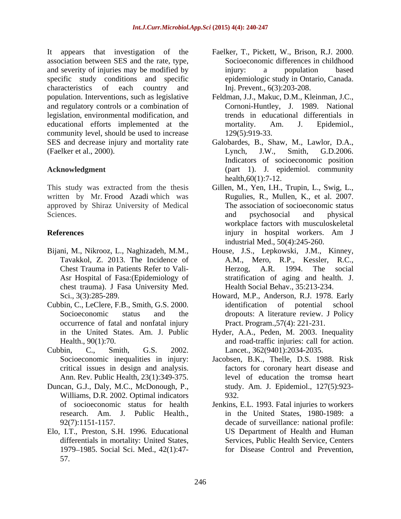It appears that investigation of the association between SES and the rate, type, and severity of injuries may be modified by injury: a population based specific study conditions and specific characteristics of each country and Inj. Prevent., 6(3):203-208. population. Interventions, such as legislative Feldman, J.J., Makuc, D.M., Kleinman, J.C., and regulatory controls or a combination of legislation, environmental modification, and educational efforts implemented at the mortality. Am. J. Epidemiol., community level, should be used to increase SES and decrease injury and mortality rate Galobardes, B., Shaw, M., Lawlor, D.A., (Faelker et al., 2000). Lynch, J.W., Smith, G.D.2006.

written by Mr. Frood Azadi which was approved by Shiraz University of Medical

- chest trauma). J Fasa University Med.
- Cubbin, C., LeClere, F.B., Smith, G.S. 2000. occurrence of fatal and nonfatal injury
- 
- Duncan, G.J., Daly, M.C., McDonough, P., Williams, D.R. 2002. Optimal indicators 932. research. Am. J. Public Health.,
- Elo, I.T., Preston, S.H. 1996. Educational 1979 1985. Social Sci. Med., 42(1):47- 57.
- Faelker, T., Pickett, W., Brison, R.J. 2000. Socioeconomic differences in childhood injury: a population based epidemiologic study in Ontario, Canada. Inj. Prevent., 6(3):203-208.
- Cornoni-Huntley, J. 1989. National trends in educational differentials in mortality. Am. J. Epidemiol., 129(5):919-33.
- **Acknowledgment** (part 1). J. epidemiol. community Lynch, J.W., Smith, G.D.2006. Indicators of socioeconomic position health,60(1):7-12.
- This study was extracted from the thesis Gillen, M., Yen, I.H., Trupin, L., Swig, L., Sciences. and psychosocial and physical and physical **References and** *References* **and** *References* **and** *References* **and** *References* **b** Rugulies, R., Mullen, K., et al. 2007. The association of socioeconomic status and psychosocial and physical workplace factors with musculoskeletal injury in hospital workers. Am J industrial Med., 50(4):245-260.
- Bijani, M., Nikrooz, L., Naghizadeh, M.M., House, J.S., Lepkowski, J.M., Kinney, Tavakkol, Z. 2013. The Incidence of A.M., Mero, R.P., Kessler, R.C., Chest Trauma in Patients Refer to Vali- Asr Hospital of Fasa:(Epidemiology of stratification of aging and health. J. Herzog, A.R. 1994. The social Health Social Behav., 35:213-234.
	- Sci., 3(3):285-289. Howard, M.P., Anderson, R.J. 1978. Early Socioeconomic status and the dropouts: A literature review. J Policy identification of potential school Pract. Program.,57(4): 221-231.
- in the United States. Am. J. Public Hyder, A.A., Peden, M. 2003. Inequality Health., 90(1):70. and road-traffic injuries: call for action. Cubbin, C., Smith, G.S. 2002. Lancet., 362(9401):2034-2035.
	- Socioeconomic inequalities in injury: Jacobsen, B.K., Thelle, D.S. 1988. Risk critical issues in design and analysis. factors for coronary heart disease and Ann. Rev. Public Health, 23(1):349-375. level of education the tromsø heart study. Am. J. Epidemiol., 127(5):923- 932.
	- of socioeconomic status for health Jenkins, E.L. 1993. Fatal injuries to workers 92(7):1151-1157. decade of surveillance: national profile: differentials in mortality: United States, Services, Public Health Service, Centers in the United States, 1980-1989: a US Department of Health and Human for Disease Control and Prevention,